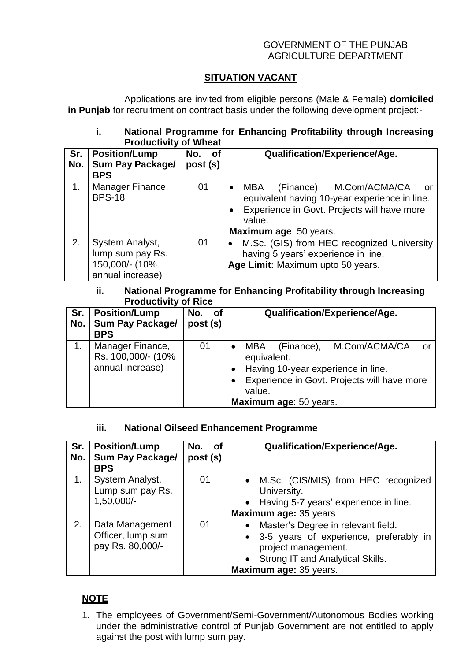#### GOVERNMENT OF THE PUNJAB AGRICULTURE DEPARTMENT

# **SITUATION VACANT**

Applications are invited from eligible persons (Male & Female) **domiciled in Punjab** for recruitment on contract basis under the following development project:-

### **i. National Programme for Enhancing Profitability through Increasing Productivity of Wheat**

| Sr.<br>No. | <b>Position/Lump</b><br><b>Sum Pay Package/</b> | No.<br>of<br>post (s) | <b>Qualification/Experience/Age.</b>                                                                                                                                                                         |
|------------|-------------------------------------------------|-----------------------|--------------------------------------------------------------------------------------------------------------------------------------------------------------------------------------------------------------|
|            | <b>BPS</b>                                      |                       |                                                                                                                                                                                                              |
| 1.         | Manager Finance,<br><b>BPS-18</b>               | 01                    | (Finance), M.Com/ACMA/CA<br><b>MBA</b><br>$\bullet$<br>- or<br>equivalent having 10-year experience in line.<br>Experience in Govt. Projects will have more<br>$\bullet$<br>value.<br>Maximum age: 50 years. |
| 2.         | System Analyst,                                 | 01                    | M.Sc. (GIS) from HEC recognized University                                                                                                                                                                   |
|            | lump sum pay Rs.                                |                       | having 5 years' experience in line.                                                                                                                                                                          |
|            | 150,000/- (10%<br>annual increase)              |                       | Age Limit: Maximum upto 50 years.                                                                                                                                                                            |

#### **ii. National Programme for Enhancing Profitability through Increasing Productivity of Rice**

| Sr.<br>No. | <b>Position/Lump</b><br><b>Sum Pay Package/</b><br><b>BPS</b> | No. of<br>post (s) | Qualification/Experience/Age.                                                                                                                                                                        |
|------------|---------------------------------------------------------------|--------------------|------------------------------------------------------------------------------------------------------------------------------------------------------------------------------------------------------|
|            | Manager Finance,<br>Rs. 100,000/- (10%<br>annual increase)    | 01                 | M.Com/ACMA/CA<br>(Finance),<br><b>MBA</b><br>or<br>equivalent.<br>Having 10-year experience in line.<br>Experience in Govt. Projects will have more<br>$\bullet$<br>value.<br>Maximum age: 50 years. |

## **iii. National Oilseed Enhancement Programme**

| Sr.<br>No. | <b>Position/Lump</b><br><b>Sum Pay Package/</b><br><b>BPS</b> | No. of<br>post (s) | <b>Qualification/Experience/Age.</b>                                                                                                                                    |
|------------|---------------------------------------------------------------|--------------------|-------------------------------------------------------------------------------------------------------------------------------------------------------------------------|
| 1.         | System Analyst,<br>Lump sum pay Rs.<br>1,50,000/-             | 01                 | • M.Sc. (CIS/MIS) from HEC recognized<br>University.<br>• Having 5-7 years' experience in line.<br>Maximum age: 35 years                                                |
| 2.         | Data Management<br>Officer, lump sum<br>pay Rs. 80,000/-      | 01                 | • Master's Degree in relevant field.<br>• 3-5 years of experience, preferably in<br>project management.<br>• Strong IT and Analytical Skills.<br>Maximum age: 35 years. |

# **NOTE**

1. The employees of Government/Semi-Government/Autonomous Bodies working under the administrative control of Punjab Government are not entitled to apply against the post with lump sum pay.